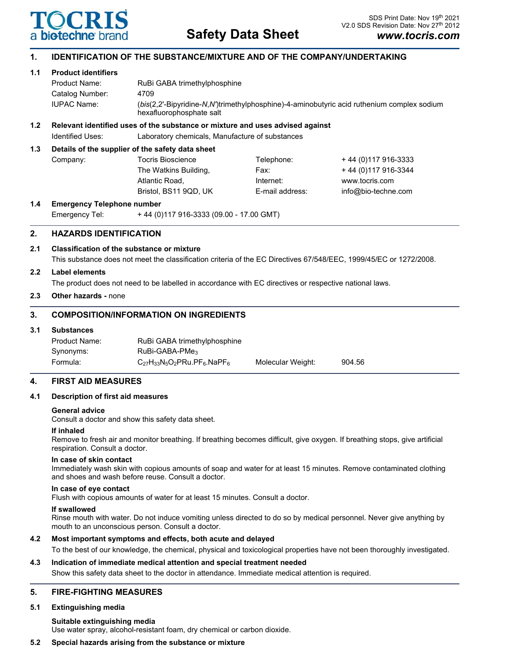

# **1. IDENTIFICATION OF THE SUBSTANCE/MIXTURE AND OF THE COMPANY/UNDERTAKING**

**1.1 Product identifiers**

| Product Name:   | RuBi GABA trimethylphosphine                                                                                           |
|-----------------|------------------------------------------------------------------------------------------------------------------------|
| Catalog Number: | 4709                                                                                                                   |
| IUPAC Name:     | (bis(2,2'-Bipyridine-N,N')trimethylphosphine)-4-aminobutyric acid ruthenium complex sodium<br>hexafluorophosphate salt |

## **1.2 Relevant identified uses of the substance or mixture and uses advised against**

Identified Uses: Laboratory chemicals, Manufacture of substances

### **1.3 Details of the supplier of the safety data sheet**

| Company: | Tocris Bioscience     | Telephone:      | +44 (0) 117 916-3333 |
|----------|-----------------------|-----------------|----------------------|
|          | The Watkins Building, | Fax:            | +44 (0) 117 916-3344 |
|          | Atlantic Road.        | Internet:       | www.tocris.com       |
|          | Bristol, BS11 9QD, UK | E-mail address: | info@bio-techne.com  |
|          |                       |                 |                      |

## **1.4 Emergency Telephone number**

Emergency Tel: + 44 (0)117 916-3333 (09.00 - 17.00 GMT)

# **2. HAZARDS IDENTIFICATION**

## **2.1 Classification of the substance or mixture**

This substance does not meet the classification criteria of the EC Directives 67/548/EEC, 1999/45/EC or 1272/2008.

### **2.2 Label elements**

The product does not need to be labelled in accordance with EC directives or respective national laws.

### **2.3 Other hazards -** none

# **3. COMPOSITION/INFORMATION ON INGREDIENTS**

### **3.1 Substances**

| Product Name: | RuBi GABA trimethylphosphine        |                   |        |
|---------------|-------------------------------------|-------------------|--------|
| Synonyms:     | $RuBi-GABA-PMe3$                    |                   |        |
| Formula:      | $C_{27}H_{33}N_5O_2PRu.PF_6.NaPF_6$ | Molecular Weight: | 904.56 |

### **4. FIRST AID MEASURES**

### **4.1 Description of first aid measures**

### **General advice**

Consult a doctor and show this safety data sheet.

#### **If inhaled**

Remove to fresh air and monitor breathing. If breathing becomes difficult, give oxygen. If breathing stops, give artificial respiration. Consult a doctor.

#### **In case of skin contact**

Immediately wash skin with copious amounts of soap and water for at least 15 minutes. Remove contaminated clothing and shoes and wash before reuse. Consult a doctor.

#### **In case of eye contact**

Flush with copious amounts of water for at least 15 minutes. Consult a doctor.

#### **If swallowed**

Rinse mouth with water. Do not induce vomiting unless directed to do so by medical personnel. Never give anything by mouth to an unconscious person. Consult a doctor.

### **4.2 Most important symptoms and effects, both acute and delayed**

To the best of our knowledge, the chemical, physical and toxicological properties have not been thoroughly investigated.

# **4.3 Indication of immediate medical attention and special treatment needed**

Show this safety data sheet to the doctor in attendance. Immediate medical attention is required.

### **5. FIRE-FIGHTING MEASURES**

### **5.1 Extinguishing media**

**Suitable extinguishing media**

Use water spray, alcohol-resistant foam, dry chemical or carbon dioxide.

### **5.2 Special hazards arising from the substance or mixture**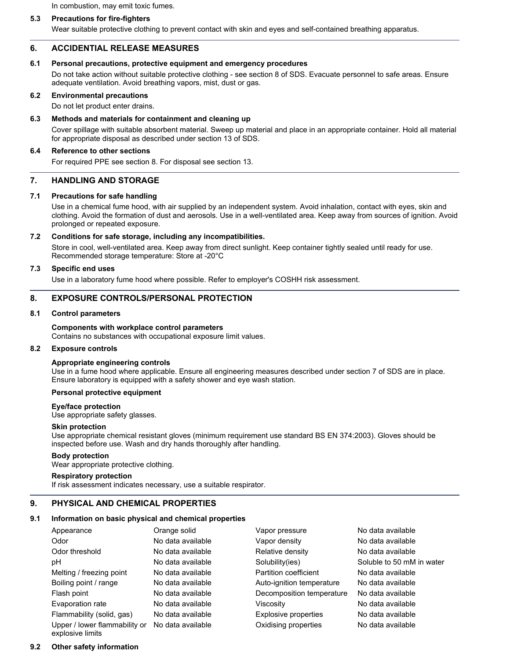In combustion, may emit toxic fumes.

### **5.3 Precautions for fire-fighters**

Wear suitable protective clothing to prevent contact with skin and eyes and self-contained breathing apparatus.

### **6. ACCIDENTIAL RELEASE MEASURES**

#### **6.1 Personal precautions, protective equipment and emergency procedures**

Do not take action without suitable protective clothing - see section 8 of SDS. Evacuate personnel to safe areas. Ensure adequate ventilation. Avoid breathing vapors, mist, dust or gas.

### **6.2 Environmental precautions**

Do not let product enter drains.

### **6.3 Methods and materials for containment and cleaning up**

Cover spillage with suitable absorbent material. Sweep up material and place in an appropriate container. Hold all material for appropriate disposal as described under section 13 of SDS.

#### **6.4 Reference to other sections**

For required PPE see section 8. For disposal see section 13.

### **7. HANDLING AND STORAGE**

### **7.1 Precautions for safe handling**

Use in a chemical fume hood, with air supplied by an independent system. Avoid inhalation, contact with eyes, skin and clothing. Avoid the formation of dust and aerosols. Use in a well-ventilated area. Keep away from sources of ignition. Avoid prolonged or repeated exposure.

#### **7.2 Conditions for safe storage, including any incompatibilities.**

Store in cool, well-ventilated area. Keep away from direct sunlight. Keep container tightly sealed until ready for use. Recommended storage temperature: Store at -20°C

#### **7.3 Specific end uses**

Use in a laboratory fume hood where possible. Refer to employer's COSHH risk assessment.

#### **8. EXPOSURE CONTROLS/PERSONAL PROTECTION**

#### **8.1 Control parameters**

### **Components with workplace control parameters**

Contains no substances with occupational exposure limit values.

#### **8.2 Exposure controls**

#### **Appropriate engineering controls**

Use in a fume hood where applicable. Ensure all engineering measures described under section 7 of SDS are in place. Ensure laboratory is equipped with a safety shower and eye wash station.

### **Personal protective equipment**

#### **Eye/face protection**

Use appropriate safety glasses.

#### **Skin protection**

Use appropriate chemical resistant gloves (minimum requirement use standard BS EN 374:2003). Gloves should be inspected before use. Wash and dry hands thoroughly after handling.

#### **Body protection**

Wear appropriate protective clothing.

#### **Respiratory protection**

If risk assessment indicates necessary, use a suitable respirator.

### **9. PHYSICAL AND CHEMICAL PROPERTIES**

### **9.1 Information on basic physical and chemical properties**

| Appearance                    | Orange solid      | Vapor pressure            | No data available         |
|-------------------------------|-------------------|---------------------------|---------------------------|
| Odor                          | No data available | Vapor density             | No data available         |
| Odor threshold                | No data available | Relative density          | No data available         |
| рH                            | No data available | Solubility(ies)           | Soluble to 50 mM in water |
| Melting / freezing point      | No data available | Partition coefficient     | No data available         |
| Boiling point / range         | No data available | Auto-ignition temperature | No data available         |
| Flash point                   | No data available | Decomposition temperature | No data available         |
| Evaporation rate              | No data available | Viscosity                 | No data available         |
| Flammability (solid, gas)     | No data available | Explosive properties      | No data available         |
| Upper / lower flammability or | No data available | Oxidising properties      | No data available         |

explosive limits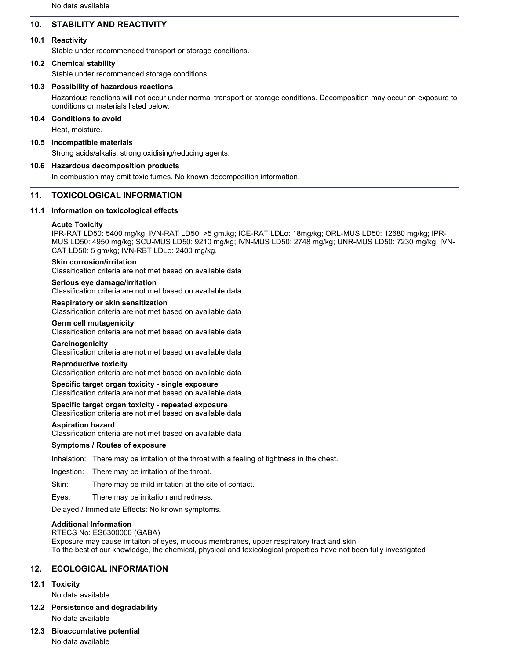No data available

# **10. STABILITY AND REACTIVITY**

### **10.1 Reactivity**

Stable under recommended transport or storage conditions.

#### **10.2 Chemical stability**

Stable under recommended storage conditions.

#### **10.3 Possibility of hazardous reactions**

Hazardous reactions will not occur under normal transport or storage conditions. Decomposition may occur on exposure to conditions or materials listed below.

### **10.4 Conditions to avoid**

Heat, moisture.

### **10.5 Incompatible materials**

Strong acids/alkalis, strong oxidising/reducing agents.

### **10.6 Hazardous decomposition products**

In combustion may emit toxic fumes. No known decomposition information.

### **11. TOXICOLOGICAL INFORMATION**

#### **11.1 Information on toxicological effects**

### **Acute Toxicity**

IPR-RAT LD50: 5400 mg/kg; IVN-RAT LD50: >5 gm.kg; ICE-RAT LDLo: 18mg/kg; ORL-MUS LD50: 12680 mg/kg; IPR-MUS LD50: 4950 mg/kg; SCU-MUS LD50: 9210 mg/kg; IVN-MUS LD50: 2748 mg/kg; UNR-MUS LD50: 7230 mg/kg; IVN-CAT LD50: 5 gm/kg; IVN-RBT LDLo: 2400 mg/kg.

#### **Skin corrosion/irritation**

Classification criteria are not met based on available data

#### **Serious eye damage/irritation**

Classification criteria are not met based on available data

# **Respiratory or skin sensitization**

Classification criteria are not met based on available data

#### **Germ cell mutagenicity**

Classification criteria are not met based on available data

#### **Carcinogenicity**

Classification criteria are not met based on available data

#### **Reproductive toxicity**

Classification criteria are not met based on available data

#### **Specific target organ toxicity - single exposure**

Classification criteria are not met based on available data

#### **Specific target organ toxicity - repeated exposure**

Classification criteria are not met based on available data

#### **Aspiration hazard**

Classification criteria are not met based on available data

#### **Symptoms / Routes of exposure**

Inhalation: There may be irritation of the throat with a feeling of tightness in the chest.

Ingestion: There may be irritation of the throat.

Skin: There may be mild irritation at the site of contact.

Eyes: There may be irritation and redness.

Delayed / Immediate Effects: No known symptoms.

### **Additional Information**

RTECS No: ES6300000 (GABA) Exposure may cause irritaiton of eyes, mucous membranes, upper respiratory tract and skin. To the best of our knowledge, the chemical, physical and toxicological properties have not been fully investigated

### **12. ECOLOGICAL INFORMATION**

#### **12.1 Toxicity**

No data available

**12.2 Persistence and degradability** No data available

# **12.3 Bioaccumlative potential**

No data available